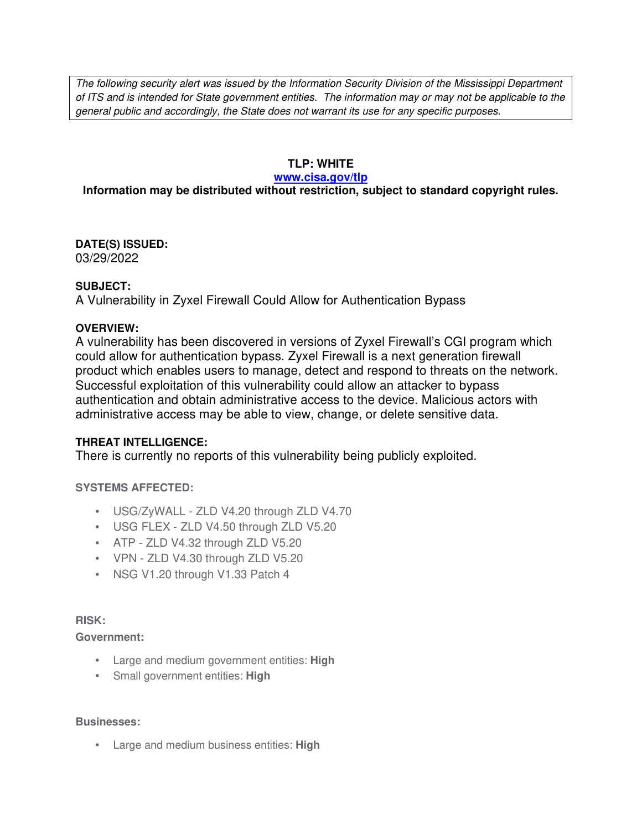The following security alert was issued by the Information Security Division of the Mississippi Department of ITS and is intended for State government entities. The information may or may not be applicable to the general public and accordingly, the State does not warrant its use for any specific purposes.

# **TLP: WHITE**

#### **www.cisa.gov/tlp**

# **Information may be distributed without restriction, subject to standard copyright rules.**

**DATE(S) ISSUED:** 03/29/2022

## **SUBJECT:**

A Vulnerability in Zyxel Firewall Could Allow for Authentication Bypass

## **OVERVIEW:**

A vulnerability has been discovered in versions of Zyxel Firewall's CGI program which could allow for authentication bypass. Zyxel Firewall is a next generation firewall product which enables users to manage, detect and respond to threats on the network. Successful exploitation of this vulnerability could allow an attacker to bypass authentication and obtain administrative access to the device. Malicious actors with administrative access may be able to view, change, or delete sensitive data.

## **THREAT INTELLIGENCE:**

There is currently no reports of this vulnerability being publicly exploited.

## **SYSTEMS AFFECTED:**

- USG/ZyWALL ZLD V4.20 through ZLD V4.70
- USG FLEX ZLD V4.50 through ZLD V5.20
- ATP ZLD V4.32 through ZLD V5.20
- VPN ZLD V4.30 through ZLD V5.20
- NSG V1.20 through V1.33 Patch 4

## **RISK:**

#### **Government:**

- Large and medium government entities: **High**
- Small government entities: **High**

#### **Businesses:**

• Large and medium business entities: **High**